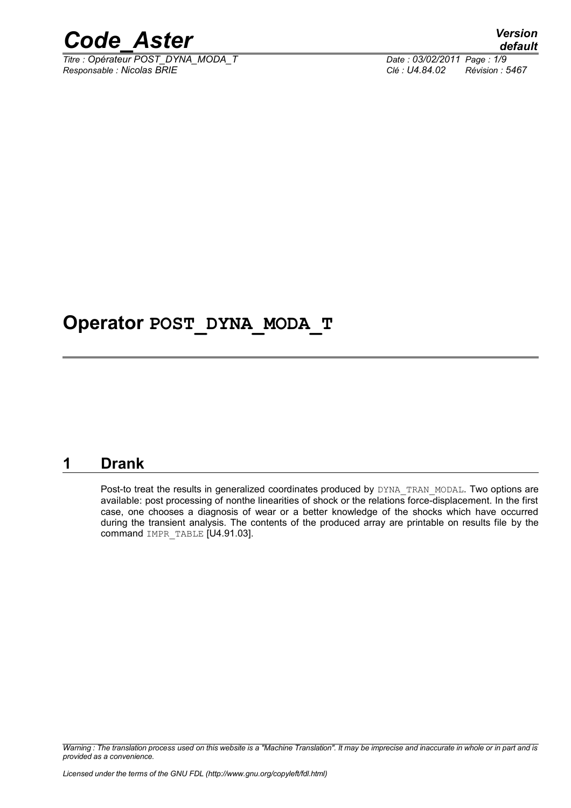

*Titre : Opérateur POST\_DYNA\_MODA\_T Date : 03/02/2011 Page : 1/9 Responsable : Nicolas BRIE Clé : U4.84.02 Révision : 5467*

## **Operator POST\_DYNA\_MODA\_T**

### **1 Drank**

Post-to treat the results in generalized coordinates produced by DYNA\_TRAN\_MODAL. Two options are available: post processing of nonthe linearities of shock or the relations force-displacement. In the first case, one chooses a diagnosis of wear or a better knowledge of the shocks which have occurred during the transient analysis. The contents of the produced array are printable on results file by the command IMPR\_TABLE [U4.91.03].

*Warning : The translation process used on this website is a "Machine Translation". It may be imprecise and inaccurate in whole or in part and is provided as a convenience.*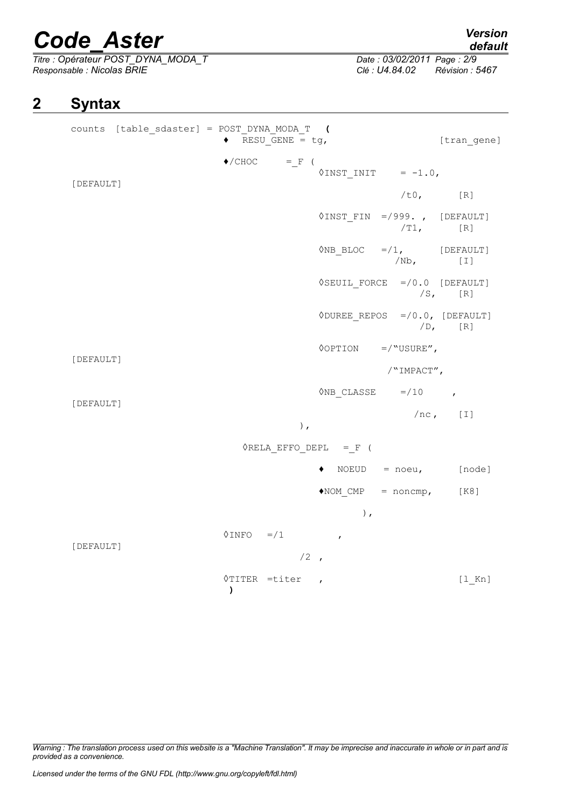*Titre : Opérateur POST\_DYNA\_MODA\_T Date : 03/02/2011 Page : 2/9 Responsable : Nicolas BRIE Clé : U4.84.02 Révision : 5467*

## *default*

### **2 Syntax**

| counts [table sdaster] = POST DYNA MODA T ( | $\bullet$ RESU GENE = tg,                                                  |                                         |               | [tran gene]  |
|---------------------------------------------|----------------------------------------------------------------------------|-----------------------------------------|---------------|--------------|
|                                             | $\blacklozenge / \texttt{CHOC} \qquad \qquad \texttt{=F} \quad \texttt{(}$ | $\Diamond$ INST_INIT = -1.0,            |               |              |
| [DEFAULT]                                   |                                                                            |                                         | $/t0,$ [R]    |              |
|                                             |                                                                            | $\Diamond$ INST FIN =/999., [DEFAULT]   | $/T1,$ [R]    |              |
|                                             |                                                                            | $\Diamond$ NB BLOC = /1, [DEFAULT]      | $/Nb$ , [I]   |              |
|                                             |                                                                            | $\Diamond$ SEUIL FORCE =/0.0 [DEFAULT]  |               | $/S$ , $[R]$ |
|                                             |                                                                            | $\Diamond$ DUREE REPOS =/0.0, [DEFAULT] |               | $/D,$ [R]    |
| [DEFAULT]                                   |                                                                            | $\Diamond$ OPTION =/"USURE",            |               |              |
|                                             |                                                                            |                                         | $/$ "IMPACT", |              |
| [DEFAULT]                                   |                                                                            | $\Diamond$ NB CLASSE =/10,              |               |              |
|                                             | $\,$ ,                                                                     |                                         |               | $/nc$ , [I]  |
|                                             | $\Diamond$ RELA EFFO DEPL = F (                                            |                                         |               |              |
|                                             |                                                                            | $\bullet$ NOEUD = noeu, [node]          |               |              |
|                                             |                                                                            | $NOM$ CMP = noncmp, [K8]                |               |              |
|                                             |                                                                            | $\,$ ,                                  |               |              |
| [DEFAULT]                                   | $\Diamond$ INFO =/1 ,                                                      |                                         |               |              |
|                                             |                                                                            | $/2$ ,                                  |               |              |
|                                             | $\Diamond$ TITER =titer,<br>$\lambda$                                      |                                         |               | $[1$ Kn]     |

*Warning : The translation process used on this website is a "Machine Translation". It may be imprecise and inaccurate in whole or in part and is provided as a convenience.*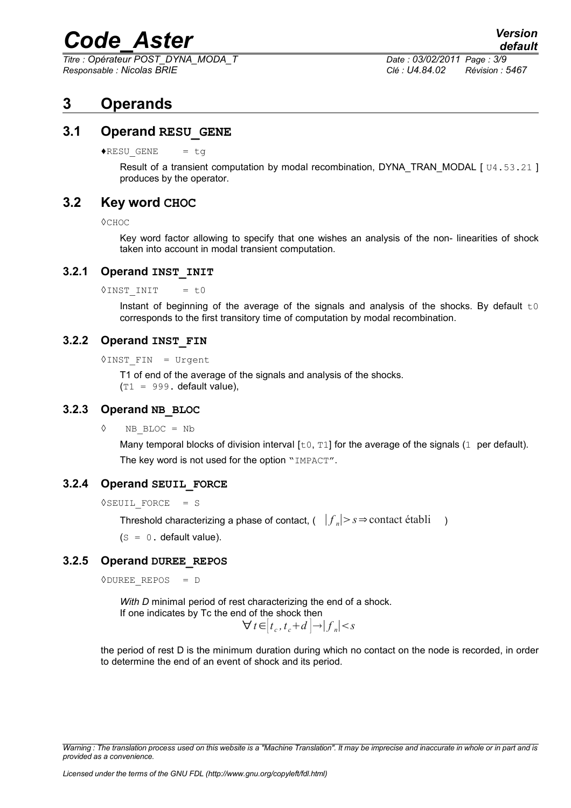*Titre : Opérateur POST\_DYNA\_MODA\_T Date : 03/02/2011 Page : 3/9 Responsable : Nicolas BRIE Clé : U4.84.02 Révision : 5467*

### **3 Operands**

#### **3.1 Operand RESU\_GENE**

 $\triangle$ RESU GENE = tg

Result of a transient computation by modal recombination, DYNA\_TRAN\_MODAL  $[ U4.53.21 ]$ produces by the operator.

#### **3.2 Key word CHOC**

◊CHOC

Key word factor allowing to specify that one wishes an analysis of the non- linearities of shock taken into account in modal transient computation.

#### **3.2.1 Operand INST\_INIT**

 $\Diamond$ INST INIT = t0

Instant of beginning of the average of the signals and analysis of the shocks. By default  $\pm 0$ corresponds to the first transitory time of computation by modal recombination.

#### **3.2.2 Operand INST\_FIN**

◊INST\_FIN = Urgent

T1 of end of the average of the signals and analysis of the shocks.  $(T1 = 999$ . default value),

#### **3.2.3 Operand NB\_BLOC**

◊ NB\_BLOC = Nb

Many temporal blocks of division interval  $[t0, T1]$  for the average of the signals (1 per default). The key word is not used for the option "IMPACT".

#### **3.2.4 Operand SEUIL\_FORCE**

 $\Diamond$ SEUIL FORCE = S

Threshold characterizing a phase of contact, ( ∣*f n* ∣*s*⇒contact établi )

 $(S = 0$ . default value).

#### **3.2.5 Operand DUREE\_REPOS**

◊DUREE\_REPOS = D

*With D* minimal period of rest characterizing the end of a shock. If one indicates by Tc the end of the shock then

$$
\forall t \in [t_c, t_c + d] \rightarrow |f_n| < s
$$

the period of rest D is the minimum duration during which no contact on the node is recorded, in order to determine the end of an event of shock and its period.

*Warning : The translation process used on this website is a "Machine Translation". It may be imprecise and inaccurate in whole or in part and is provided as a convenience.*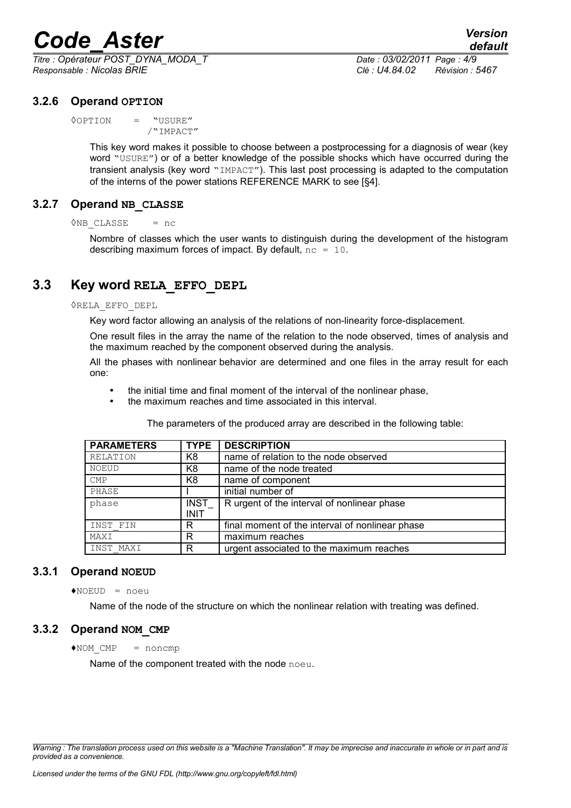*Titre : Opérateur POST\_DYNA\_MODA\_T Date : 03/02/2011 Page : 4/9 Responsable : Nicolas BRIE Clé : U4.84.02 Révision : 5467*

#### **3.2.6 Operand OPTION**

◊OPTION = "USURE"

/"IMPACT"

This key word makes it possible to choose between a postprocessing for a diagnosis of wear (key word "USURE") or of a better knowledge of the possible shocks which have occurred during the transient analysis (key word "IMPACT"). This last post processing is adapted to the computation of the interns of the power stations REFERENCE MARK to see [§4].

#### **3.2.7 Operand NB\_CLASSE**

 $\Diamond$ NB CLASSE = nc

Nombre of classes which the user wants to distinguish during the development of the histogram describing maximum forces of impact. By default,  $nc = 10$ .

#### **3.3 Key word RELA\_EFFO\_DEPL**

#### ◊RELA\_EFFO\_DEPL

Key word factor allowing an analysis of the relations of non-linearity force-displacement.

One result files in the array the name of the relation to the node observed, times of analysis and the maximum reached by the component observed during the analysis.

All the phases with nonlinear behavior are determined and one files in the array result for each one:

- the initial time and final moment of the interval of the nonlinear phase,
- the maximum reaches and time associated in this interval.

The parameters of the produced array are described in the following table:

| <b>PARAMETERS</b> | <b>TYPE</b>    | <b>DESCRIPTION</b>                              |
|-------------------|----------------|-------------------------------------------------|
| RELATION          | K8             | name of relation to the node observed           |
| NOEUD             | K <sub>8</sub> | name of the node treated                        |
| <b>CMP</b>        | K <sub>8</sub> | name of component                               |
| PHASE             |                | initial number of                               |
| phase             | <b>INST</b>    | R urgent of the interval of nonlinear phase     |
|                   | <b>INIT</b>    |                                                 |
| INST FIN          | R              | final moment of the interval of nonlinear phase |
| MAXI              | R              | maximum reaches                                 |
| INST MAXI         | R              | urgent associated to the maximum reaches        |

#### **3.3.1 Operand NOEUD**

 $NOEUD = nodeu$ 

Name of the node of the structure on which the nonlinear relation with treating was defined.

#### **3.3.2 Operand NOM\_CMP**

 $*NOM$  CMP = noncmp

Name of the component treated with the node noeu.

*Warning : The translation process used on this website is a "Machine Translation". It may be imprecise and inaccurate in whole or in part and is provided as a convenience.*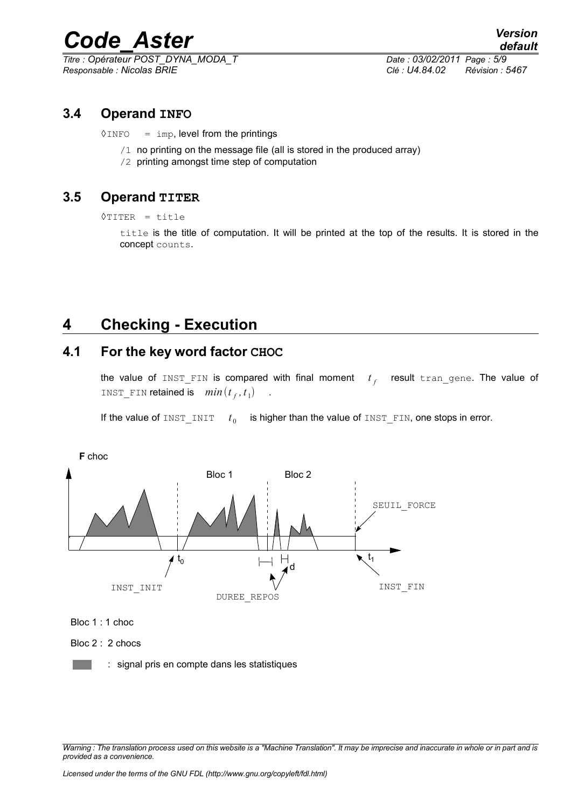*Titre : Opérateur POST\_DYNA\_MODA\_T Date : 03/02/2011 Page : 5/9 Responsable : Nicolas BRIE Clé : U4.84.02 Révision : 5467*

#### **3.4 Operand INFO**

 $\Diamond$ INFO = imp, level from the printings

- $/1$  no printing on the message file (all is stored in the produced array)
- /2 printing amongst time step of computation

#### **3.5 Operand TITER**

◊TITER = title

title is the title of computation. It will be printed at the top of the results. It is stored in the concept counts.

### **4 Checking - Execution**

#### **4.1 For the key word factor CHOC**

the value of  $\text{INST\_FIN}$  is compared with final moment  $t_f$ result tran gene. The value of INST\_FIN retained is  $min(t_f, t_1)$  .

If the value of **INST** INIT  $_0$  is higher than the value of  $\mathtt{INST\_FIN}$ , one stops in error.



Bloc 1 : 1 choc

Bloc 2 : 2 chocs

: signal pris en compte dans les statistiques

*Warning : The translation process used on this website is a "Machine Translation". It may be imprecise and inaccurate in whole or in part and is provided as a convenience.*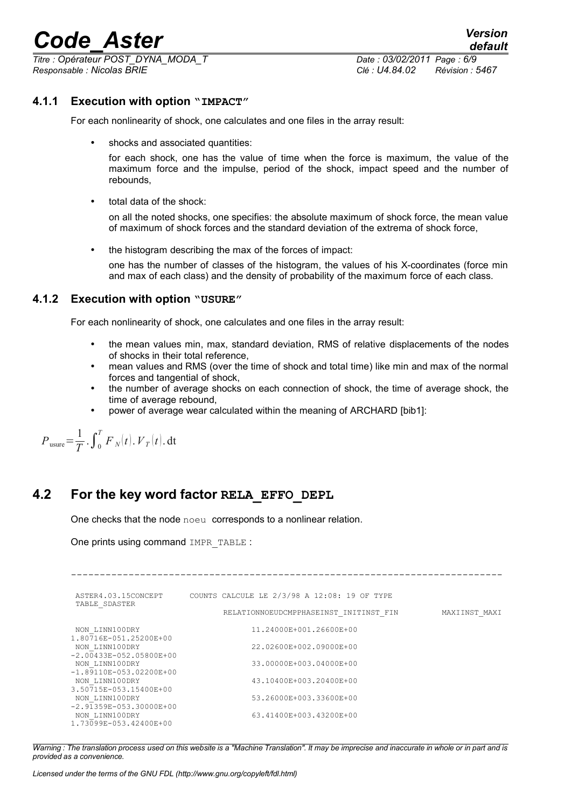*Titre : Opérateur POST\_DYNA\_MODA\_T Date : 03/02/2011 Page : 6/9 Responsable : Nicolas BRIE Clé : U4.84.02 Révision : 5467*

#### **4.1.1 Execution with option "IMPACT"**

For each nonlinearity of shock, one calculates and one files in the array result:

shocks and associated quantities:

for each shock, one has the value of time when the force is maximum, the value of the maximum force and the impulse, period of the shock, impact speed and the number of rebounds,

• total data of the shock:

on all the noted shocks, one specifies: the absolute maximum of shock force, the mean value of maximum of shock forces and the standard deviation of the extrema of shock force,

• the histogram describing the max of the forces of impact:

one has the number of classes of the histogram, the values of his X-coordinates (force min and max of each class) and the density of probability of the maximum force of each class.

#### **4.1.2 Execution with option "USURE"**

For each nonlinearity of shock, one calculates and one files in the array result:

- the mean values min, max, standard deviation, RMS of relative displacements of the nodes of shocks in their total reference,
- mean values and RMS (over the time of shock and total time) like min and max of the normal forces and tangential of shock,
- the number of average shocks on each connection of shock, the time of average shock, the time of average rebound,
- power of average wear calculated within the meaning of ARCHARD [bib1]:

$$
P_{\text{usure}} = \frac{1}{T} \cdot \int_0^T F_N(t) \cdot V_T(t) \cdot dt
$$

#### **4.2 For the key word factor RELA\_EFFO\_DEPL**

One checks that the node noeu corresponds to a nonlinear relation.

One prints using command IMPR\_TABLE :

| ASTER4.03.15CONCEPT<br>TABLE SDASTER            | COUNTS CALCULE LE 2/3/98 A 12:08: 19 OF TYPE |               |
|-------------------------------------------------|----------------------------------------------|---------------|
|                                                 | RELATIONNOEUDCMPPHASEINST INITINST FIN       | MAXIINST MAXI |
| NON LINN100DRY<br>1.80716E-051.25200E+00        | 11.24000E+001.26600E+00                      |               |
| NON LINN100DRY<br>$-2.00433E - 052.05800E + 00$ | 22.02600E+002.09000E+00                      |               |
| NON LINN100DRY<br>$-1.89110E - 053.02200E + 00$ | 33.00000E+003.04000E+00                      |               |
| NON LINN100DRY<br>3.50715E-053.15400E+00        | 43.10400E+003.20400E+00                      |               |
| NON LINN100DRY<br>-2.91359E-053.30000E+00       | 53.26000E+003.33600E+00                      |               |
| NON LINN100DRY<br>1.73099E-053.42400E+00        | 63.41400E+003.43200E+00                      |               |
|                                                 |                                              |               |

*Warning : The translation process used on this website is a "Machine Translation". It may be imprecise and inaccurate in whole or in part and is provided as a convenience.*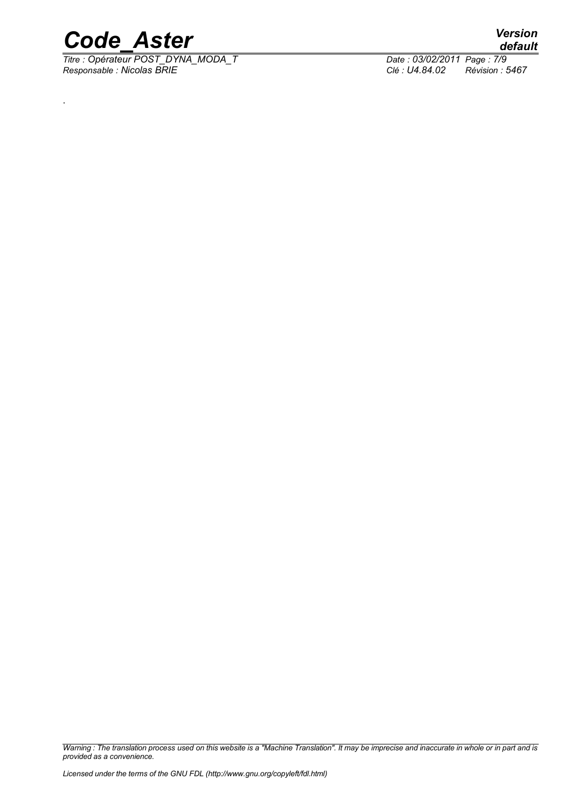

.

*Titre : Opérateur POST\_DYNA\_MODA\_T Date : 03/02/2011 Page : 7/9 Responsable : Nicolas BRIE Clé : U4.84.02 Révision : 5467*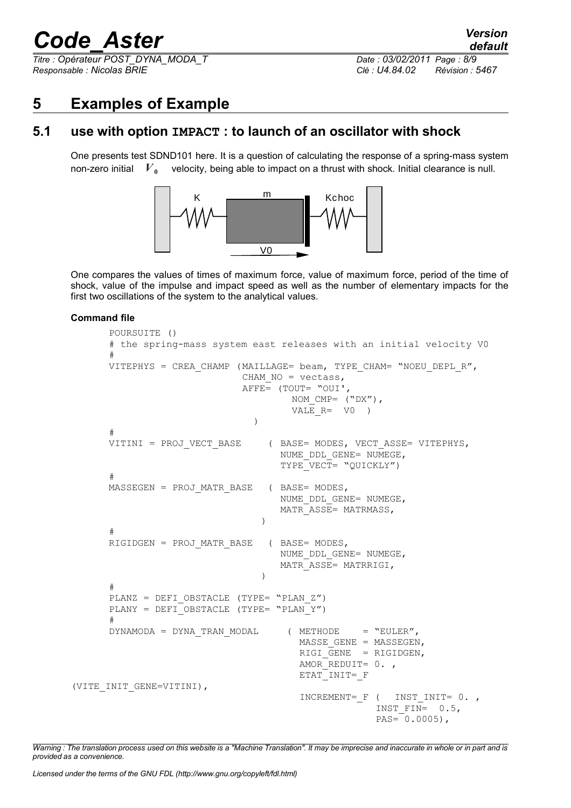*Titre : Opérateur POST\_DYNA\_MODA\_T Date : 03/02/2011 Page : 8/9 Responsable : Nicolas BRIE Clé : U4.84.02 Révision : 5467*

### **5 Examples of Example**

#### **5.1 use with option IMPACT : to launch of an oscillator with shock**

One presents test SDND101 here. It is a question of calculating the response of a spring-mass system non-zero initial  $\|V\|_0$  velocity, being able to impact on a thrust with shock. Initial clearance is null.



One compares the values of times of maximum force, value of maximum force, period of the time of shock, value of the impulse and impact speed as well as the number of elementary impacts for the first two oscillations of the system to the analytical values.

#### **Command file**

```
POURSUITE ()
      # the spring-mass system east releases with an initial velocity V0
      #
      VITEPHYS = CREA_CHAMP (MAILLAGE= beam, TYPE_CHAM= "NOEU_DEPL_R", 
                              CHAM NO = vectass,
                              AFFE= (TOUT= "OUI',
                                       NOM\_CMP= ("DX"),
                                       VALE R= V0 )
                                 )
      #
      VITINI = PROJ VECT BASE ( BASE= MODES, VECT ASSE= VITEPHYS,
                                     NUME_DDL_GENE= NUMEGE, 
                                     TYPE VECT= "QUICKLY")
      #
      MASSEGEN = PROJ MATR BASE ( BASE= MODES,
                                     NUME_DDL_GENE= NUMEGE,
                                     MATR ASSE= MATRMASS,
                                  )
      #
      RIGIDGEN = PROJ MATR BASE ( BASE= MODES,
                                     NUME_DDL_GENE= NUMEGE,
                                     MATR<sub>ASSE</sub>= MATRRIGI,)
      #
      PLANZ = DEFI_OBSTACLE (TYPE= "PLAN_Z")
      PLANY = DEFI OBSTACLE (TYPE= "PLAN_Y")
      #
      DYNAMODA = DYNA_TRAN_MODAL ( METHODE = "EULER",
                                         MASSE GENE = MASSEGEN,
                                         RIGI GENE = RIGIDGEN,
                                         AMOR REDUIT= 0.ETAT_INIT=_F
(VITE INIT GENE=VITINI),
                                         INCREMENT= F ( INST INIT= 0. ,
                                                      INST \overline{F1N}= 0.5,
                                                      PAS= 0.0005),
```
*Warning : The translation process used on this website is a "Machine Translation". It may be imprecise and inaccurate in whole or in part and is provided as a convenience.*